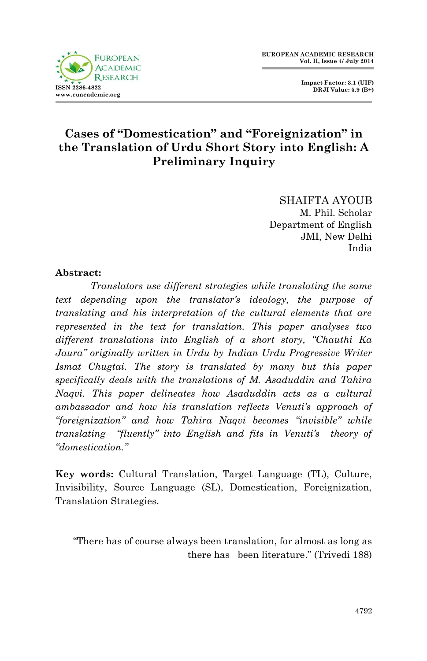



## **Cases of "Domestication" and "Foreignization" in the Translation of Urdu Short Story into English: A Preliminary Inquiry**

SHAIFTA AYOUB M. Phil. Scholar Department of English JMI, New Delhi India

## **Abstract:**

*Translators use different strategies while translating the same text depending upon the translator's ideology, the purpose of translating and his interpretation of the cultural elements that are represented in the text for translation. This paper analyses two different translations into English of a short story, "Chauthi Ka Jaura" originally written in Urdu by Indian Urdu Progressive Writer Ismat Chugtai. The story is translated by many but this paper specifically deals with the translations of M. Asaduddin and Tahira Naqvi. This paper delineates how Asaduddin acts as a cultural ambassador and how his translation reflects Venuti's approach of "foreignization" and how Tahira Naqvi becomes "invisible" while translating "fluently" into English and fits in Venuti's theory of "domestication."*

**Key words:** Cultural Translation, Target Language (TL), Culture, Invisibility, Source Language (SL), Domestication, Foreignization, Translation Strategies.

"There has of course always been translation, for almost as long as there has been literature." (Trivedi 188)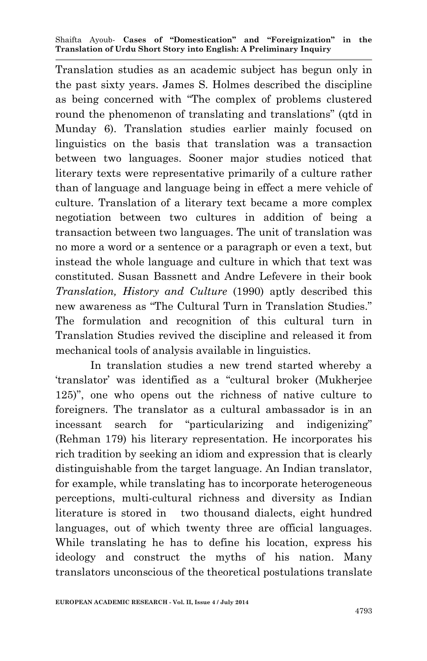Translation studies as an academic subject has begun only in the past sixty years. James S. Holmes described the discipline as being concerned with "The complex of problems clustered round the phenomenon of translating and translations" (qtd in Munday 6). Translation studies earlier mainly focused on linguistics on the basis that translation was a transaction between two languages. Sooner major studies noticed that literary texts were representative primarily of a culture rather than of language and language being in effect a mere vehicle of culture. Translation of a literary text became a more complex negotiation between two cultures in addition of being a transaction between two languages. The unit of translation was no more a word or a sentence or a paragraph or even a text, but instead the whole language and culture in which that text was constituted. Susan Bassnett and Andre Lefevere in their book *Translation, History and Culture* (1990) aptly described this new awareness as "The Cultural Turn in Translation Studies." The formulation and recognition of this cultural turn in Translation Studies revived the discipline and released it from mechanical tools of analysis available in linguistics.

In translation studies a new trend started whereby a 'translator' was identified as a "cultural broker (Mukherjee 125)", one who opens out the richness of native culture to foreigners. The translator as a cultural ambassador is in an incessant search for "particularizing and indigenizing" (Rehman 179) his literary representation. He incorporates his rich tradition by seeking an idiom and expression that is clearly distinguishable from the target language. An Indian translator, for example, while translating has to incorporate heterogeneous perceptions, multi-cultural richness and diversity as Indian literature is stored in two thousand dialects, eight hundred languages, out of which twenty three are official languages. While translating he has to define his location, express his ideology and construct the myths of his nation. Many translators unconscious of the theoretical postulations translate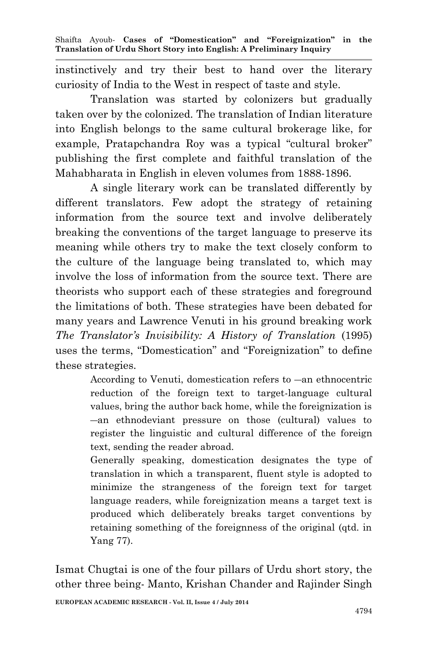instinctively and try their best to hand over the literary curiosity of India to the West in respect of taste and style.

Translation was started by colonizers but gradually taken over by the colonized. The translation of Indian literature into English belongs to the same cultural brokerage like, for example, Pratapchandra Roy was a typical "cultural broker" publishing the first complete and faithful translation of the Mahabharata in English in eleven volumes from 1888-1896.

A single literary work can be translated differently by different translators. Few adopt the strategy of retaining information from the source text and involve deliberately breaking the conventions of the target language to preserve its meaning while others try to make the text closely conform to the culture of the language being translated to, which may involve the loss of information from the source text. There are theorists who support each of these strategies and foreground the limitations of both. These strategies have been debated for many years and Lawrence Venuti in his ground breaking work *The Translator's Invisibility: A History of Translation* (1995) uses the terms, "Domestication" and "Foreignization" to define these strategies.

> According to Venuti, domestication refers to ―an ethnocentric reduction of the foreign text to target-language cultural values, bring the author back home, while the foreignization is ―an ethnodeviant pressure on those (cultural) values to register the linguistic and cultural difference of the foreign text, sending the reader abroad.

> Generally speaking, domestication designates the type of translation in which a transparent, fluent style is adopted to minimize the strangeness of the foreign text for target language readers, while foreignization means a target text is produced which deliberately breaks target conventions by retaining something of the foreignness of the original (qtd. in Yang 77).

Ismat Chugtai is one of the four pillars of Urdu short story, the other three being- Manto, Krishan Chander and Rajinder Singh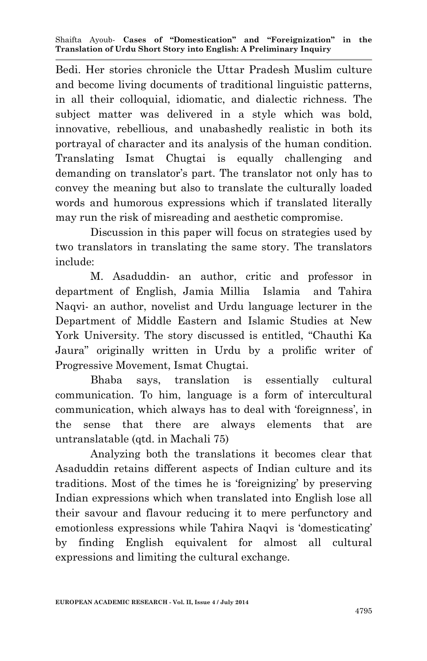Bedi. Her stories chronicle the Uttar Pradesh Muslim culture and become living documents of traditional linguistic patterns, in all their colloquial, idiomatic, and dialectic richness. The subject matter was delivered in a style which was bold, innovative, rebellious, and unabashedly realistic in both its portrayal of character and its analysis of the human condition. Translating Ismat Chugtai is equally challenging and demanding on translator's part. The translator not only has to convey the meaning but also to translate the culturally loaded words and humorous expressions which if translated literally may run the risk of misreading and aesthetic compromise.

Discussion in this paper will focus on strategies used by two translators in translating the same story. The translators include:

M. Asaduddin- an author, critic and professor in department of English, Jamia Millia Islamia and Tahira Naqvi- an author, novelist and Urdu language lecturer in the Department of Middle Eastern and Islamic Studies at New York University. The story discussed is entitled, "Chauthi Ka Jaura" originally written in Urdu by a prolific writer of Progressive Movement, Ismat Chugtai.

Bhaba says, translation is essentially cultural communication. To him, language is a form of intercultural communication, which always has to deal with 'foreignness', in the sense that there are always elements that are untranslatable (qtd. in Machali 75)

Analyzing both the translations it becomes clear that Asaduddin retains different aspects of Indian culture and its traditions. Most of the times he is 'foreignizing' by preserving Indian expressions which when translated into English lose all their savour and flavour reducing it to mere perfunctory and emotionless expressions while Tahira Naqvi is 'domesticating' by finding English equivalent for almost all cultural expressions and limiting the cultural exchange.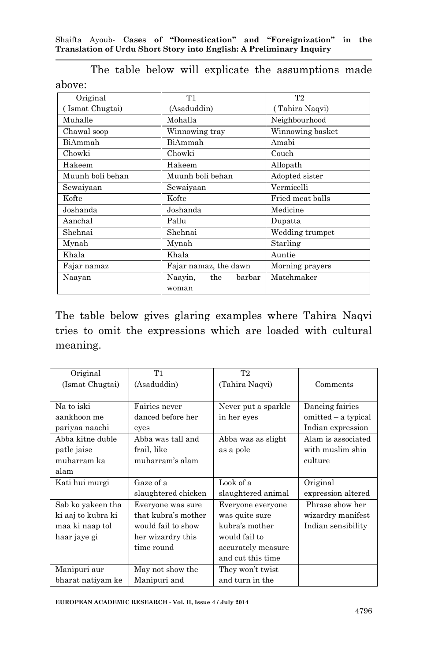| Original         | T1                    | T <sub>2</sub>   |
|------------------|-----------------------|------------------|
| (Ismat Chugtai)  | (Asaduddin)           | (Tahira Naqvi)   |
| Muhalle          | Mohalla               | Neighbourhood    |
| Chawal soop      | Winnowing tray        | Winnowing basket |
| BiAmmah          | BiAmmah               | Amabi            |
| Chowki           | Chowki                | Couch            |
| Hakeem           | Hakeem                | Allopath         |
| Muunh boli behan | Muunh boli behan      | Adopted sister   |
| Sewaiyaan        | Sewaiyaan             | Vermicelli       |
| Kofte            | Kofte                 | Fried meat balls |
| Joshanda         | Joshanda              | Medicine         |
| Aanchal          | Pallu                 | Dupatta          |
| Shehnai          | Shehnai               | Wedding trumpet  |
| Mynah            | Mynah                 | Starling         |
| Khala            | Khala                 | Auntie           |
| Fajar namaz      | Fajar namaz, the dawn | Morning prayers  |
| Naayan           | Naayin, the<br>barbar | Matchmaker       |
|                  | woman                 |                  |

The table below will explicate the assumptions made above:

The table below gives glaring examples where Tahira Naqvi tries to omit the expressions which are loaded with cultural meaning.

| Original           | T1                  | T <sub>2</sub>      |                     |
|--------------------|---------------------|---------------------|---------------------|
| (Ismat Chugtai)    | (Asaduddin)         | (Tahira Naqvi)      | Comments            |
|                    |                     |                     |                     |
| Na to iski         | Fairies never       | Never put a sparkle | Dancing fairies     |
| aankhoon me        | danced before her   | in her eyes         | omitted – a typical |
| pariyaa naachi     | eyes                |                     | Indian expression   |
| Abba kitne duble   | Abba was tall and   | Abba was as slight  | Alam is associated  |
| patle jaise        | frail, like         | as a pole           | with muslim shia    |
| muharram ka        | muharram's alam     |                     | culture             |
| alam               |                     |                     |                     |
| Kati hui murgi     | Gaze of a           | Look of a           | Original            |
|                    | slaughtered chicken | slaughtered animal  | expression altered  |
| Sab ko yakeen tha  | Everyone was sure   | Everyone everyone   | Phrase show her     |
| ki aaj to kubra ki | that kubra's mother | was quite sure      | wizardry manifest   |
| maa ki naap tol    | would fail to show  | kubra's mother      | Indian sensibility  |
| haar jaye gi       | her wizardry this   | would fail to       |                     |
|                    | time round          | accurately measure  |                     |
|                    |                     | and cut this time   |                     |
| Manipuri aur       | May not show the    | They won't twist    |                     |
| bharat natiyam ke  | Manipuri and        | and turn in the     |                     |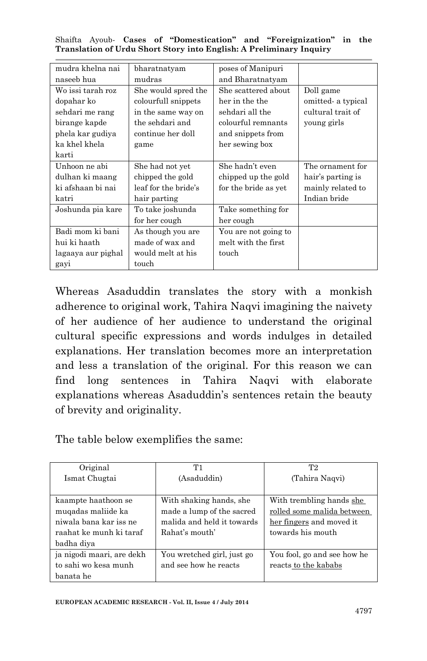Shaifta Ayoub*-* **Cases of "Domestication" and "Foreignization" in the Translation of Urdu Short Story into English: A Preliminary Inquiry**

| mudra khelna nai   | bharatnatyam         | poses of Manipuri    |                   |
|--------------------|----------------------|----------------------|-------------------|
| naseeb hua         | mudras               | and Bharatnatyam     |                   |
| Wo issi tarah roz  | She would spred the  | She scattered about  | Doll game         |
| dopahar ko         | colourfull snippets  | her in the the       | omitted a typical |
| sehdari me rang    | in the same way on   | sehdari all the      | cultural trait of |
| birange kapde      | the sehdari and      | colourful remnants   | young girls       |
| phela kar gudiya   | continue her doll    | and snippets from    |                   |
| ka khel khela      | game                 | her sewing box       |                   |
| karti              |                      |                      |                   |
| Unhoon ne abi      | She had not yet      | She hadn't even      | The ornament for  |
| dulhan ki maang    | chipped the gold     | chipped up the gold  | hair's parting is |
| ki afshaan bi nai  | leaf for the bride's | for the bride as yet | mainly related to |
| katri              | hair parting         |                      | Indian bride      |
| Joshunda pia kare  | To take joshunda     | Take something for   |                   |
|                    | for her cough        | her cough            |                   |
| Badi mom ki bani   | As though you are    | You are not going to |                   |
| hui ki haath       | made of wax and      | melt with the first  |                   |
| lagaaya aur pighal | would melt at his    | touch                |                   |
| gayi               | touch                |                      |                   |

Whereas Asaduddin translates the story with a monkish adherence to original work, Tahira Naqvi imagining the naivety of her audience of her audience to understand the original cultural specific expressions and words indulges in detailed explanations. Her translation becomes more an interpretation and less a translation of the original. For this reason we can find long sentences in Tahira Naqvi with elaborate explanations whereas Asaduddin's sentences retain the beauty of brevity and originality.

The table below exemplifies the same:

| Original                  | Τ1                         | Т2                          |
|---------------------------|----------------------------|-----------------------------|
| Ismat Chugtai             | (Asaduddin)                | (Tahira Naqvi)              |
|                           |                            |                             |
| kaampte haathoon se       | With shaking hands, she    | With trembling hands she    |
| muqadas maliide ka        | made a lump of the sacred  | rolled some malida between  |
| niwala bana kar iss ne    | malida and held it towards | her fingers and moved it    |
| raahat ke munh ki taraf   | Rahat's mouth'             | towards his mouth           |
| badha diya                |                            |                             |
| ja nigodi maari, are dekh | You wretched girl, just go | You fool, go and see how he |
| to sahi wo kesa munh      | and see how he reacts      | reacts to the kababs        |
| banata he                 |                            |                             |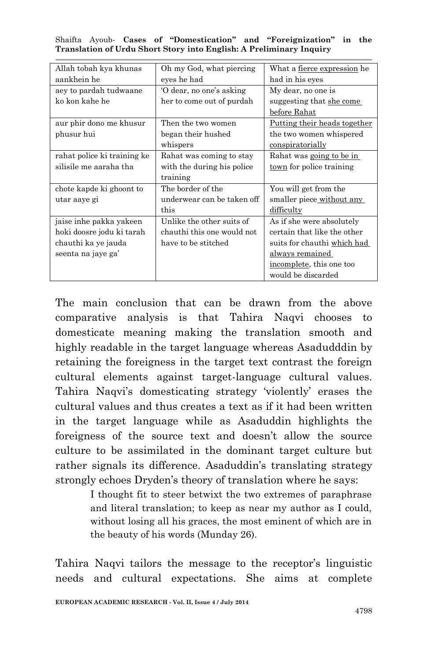Shaifta Ayoub*-* **Cases of "Domestication" and "Foreignization" in the Translation of Urdu Short Story into English: A Preliminary Inquiry**

| Allah tobah kya khunas      | Oh my God, what piercing   | What a fierce expression he  |
|-----------------------------|----------------------------|------------------------------|
| aankhein he                 | eyes he had                | had in his eyes              |
| aey to pardah tudwaane      | O dear, no one's asking    | My dear, no one is           |
| ko kon kahe he              | her to come out of purdah  | suggesting that she come     |
|                             |                            | before Rahat                 |
| aur phir dono me khusur     | Then the two women         | Putting their heads together |
| phusur hui                  | began their hushed         | the two women whispered      |
|                             | whispers                   | conspiratorially             |
| rahat police ki training ke | Rahat was coming to stay   | Rahat was going to be in     |
| silisile me aaraha tha      | with the during his police | town for police training     |
|                             | training                   |                              |
| chote kapde ki ghoont to    | The border of the          | You will get from the        |
| utar aaye gi                | underwear can be taken off | smaller piece without any    |
|                             | this                       | difficulty                   |
| jaise inhe pakka yakeen     | Unlike the other suits of  | As if she were absolutely    |
| hoki doosre jodu ki tarah   | chauthi this one would not | certain that like the other  |
| chauthi ka ye jauda         | have to be stitched        | suits for chauthi which had  |
| seenta na jaye ga'          |                            | always remained              |
|                             |                            | incomplete, this one too     |
|                             |                            | would be discarded           |

The main conclusion that can be drawn from the above comparative analysis is that Tahira Naqvi chooses to domesticate meaning making the translation smooth and highly readable in the target language whereas Asadudddin by retaining the foreigness in the target text contrast the foreign cultural elements against target-language cultural values. Tahira Naqvi's domesticating strategy 'violently' erases the cultural values and thus creates a text as if it had been written in the target language while as Asaduddin highlights the foreigness of the source text and doesn't allow the source culture to be assimilated in the dominant target culture but rather signals its difference. Asaduddin's translating strategy strongly echoes Dryden's theory of translation where he says:

> I thought fit to steer betwixt the two extremes of paraphrase and literal translation; to keep as near my author as I could, without losing all his graces, the most eminent of which are in the beauty of his words (Munday 26).

Tahira Naqvi tailors the message to the receptor's linguistic needs and cultural expectations. She aims at complete